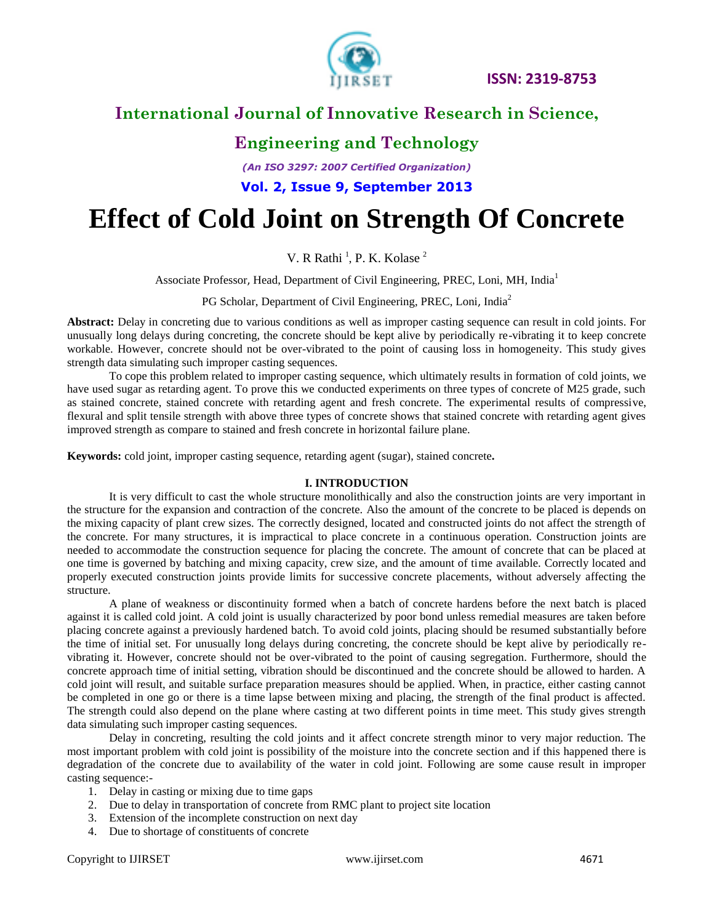

# **International Journal of Innovative Research in Science,**

### **Engineering and Technology**

*(An ISO 3297: 2007 Certified Organization)*

**Vol. 2, Issue 9, September 2013**

# **Effect of Cold Joint on Strength Of Concrete**

V. R Rathi<sup>1</sup>, P. K. Kolase<sup>2</sup>

Associate Professor, Head, Department of Civil Engineering, PREC, Loni, MH, India<sup>1</sup>

PG Scholar, Department of Civil Engineering, PREC, Loni, India<sup>2</sup>

**Abstract:** Delay in concreting due to various conditions as well as improper casting sequence can result in cold joints. For unusually long delays during concreting, the concrete should be kept alive by periodically re-vibrating it to keep concrete workable. However, concrete should not be over-vibrated to the point of causing loss in homogeneity. This study gives strength data simulating such improper casting sequences.

To cope this problem related to improper casting sequence, which ultimately results in formation of cold joints, we have used sugar as retarding agent. To prove this we conducted experiments on three types of concrete of M25 grade, such as stained concrete, stained concrete with retarding agent and fresh concrete. The experimental results of compressive, flexural and split tensile strength with above three types of concrete shows that stained concrete with retarding agent gives improved strength as compare to stained and fresh concrete in horizontal failure plane.

**Keywords:** cold joint, improper casting sequence, retarding agent (sugar), stained concrete*.* 

#### **I. INTRODUCTION**

It is very difficult to cast the whole structure monolithically and also the construction joints are very important in the structure for the expansion and contraction of the concrete. Also the amount of the concrete to be placed is depends on the mixing capacity of plant crew sizes. The correctly designed, located and constructed joints do not affect the strength of the concrete. For many structures, it is impractical to place concrete in a continuous operation. Construction joints are needed to accommodate the construction sequence for placing the concrete. The amount of concrete that can be placed at one time is governed by batching and mixing capacity, crew size, and the amount of time available. Correctly located and properly executed construction joints provide limits for successive concrete placements, without adversely affecting the structure.

A plane of weakness or discontinuity formed when a batch of concrete hardens before the next batch is placed against it is called cold joint. A cold joint is usually characterized by poor bond unless remedial measures are taken before placing concrete against a previously hardened batch. To avoid cold joints, placing should be resumed substantially before the time of initial set. For unusually long delays during concreting, the concrete should be kept alive by periodically revibrating it. However, concrete should not be over-vibrated to the point of causing segregation. Furthermore, should the concrete approach time of initial setting, vibration should be discontinued and the concrete should be allowed to harden. A cold joint will result, and suitable surface preparation measures should be applied. When, in practice, either casting cannot be completed in one go or there is a time lapse between mixing and placing, the strength of the final product is affected. The strength could also depend on the plane where casting at two different points in time meet. This study gives strength data simulating such improper casting sequences.

Delay in concreting, resulting the cold joints and it affect concrete strength minor to very major reduction. The most important problem with cold joint is possibility of the moisture into the concrete section and if this happened there is degradation of the concrete due to availability of the water in cold joint. Following are some cause result in improper casting sequence:-

- 1. Delay in casting or mixing due to time gaps
- 2. Due to delay in transportation of concrete from RMC plant to project site location
- 3. Extension of the incomplete construction on next day
- 4. Due to shortage of constituents of concrete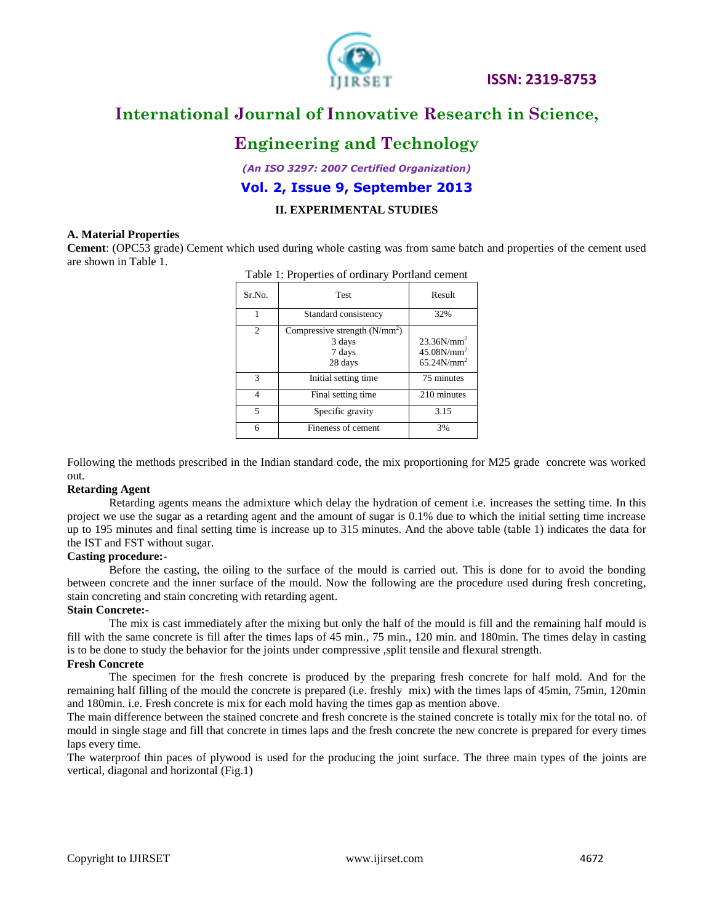

# **International Journal of Innovative Research in Science,**

### **Engineering and Technology**

*(An ISO 3297: 2007 Certified Organization)*

#### **Vol. 2, Issue 9, September 2013**

#### **II. EXPERIMENTAL STUDIES**

#### **A. Material Properties**

**Cement**: (OPC53 grade) Cement which used during whole casting was from same batch and properties of the cement used are shown in Table 1.

| I avie 1. Froperties of ordinary Fortiand centent |                                                                |                                                 |  |  |  |
|---------------------------------------------------|----------------------------------------------------------------|-------------------------------------------------|--|--|--|
| Sr.No.                                            | <b>Test</b>                                                    | Result                                          |  |  |  |
|                                                   | Standard consistency                                           | 32%                                             |  |  |  |
| $\mathfrak{D}$                                    | Compressive strength $(N/mm^2)$<br>3 days<br>7 days<br>28 days | $23.36N/mm^2$<br>$45.08N/mm^2$<br>$65.24N/mm^2$ |  |  |  |
| 3                                                 | Initial setting time                                           | 75 minutes                                      |  |  |  |
| 4                                                 | Final setting time                                             | 210 minutes                                     |  |  |  |
| 5                                                 | Specific gravity                                               | 3.15                                            |  |  |  |
| 6                                                 | Fineness of cement                                             | 3%                                              |  |  |  |

Table 1: Properties of ordinary Portland cement

Following the methods prescribed in the Indian standard code, the mix proportioning for M25 grade concrete was worked out.

#### **Retarding Agent**

Retarding agents means the admixture which delay the hydration of cement i.e. increases the setting time. In this project we use the sugar as a retarding agent and the amount of sugar is 0.1% due to which the initial setting time increase up to 195 minutes and final setting time is increase up to 315 minutes. And the above table (table 1) indicates the data for the IST and FST without sugar.

#### **Casting procedure:-**

Before the casting, the oiling to the surface of the mould is carried out. This is done for to avoid the bonding between concrete and the inner surface of the mould. Now the following are the procedure used during fresh concreting, stain concreting and stain concreting with retarding agent.

#### **Stain Concrete:-**

The mix is cast immediately after the mixing but only the half of the mould is fill and the remaining half mould is fill with the same concrete is fill after the times laps of 45 min., 75 min., 120 min. and 180min. The times delay in casting is to be done to study the behavior for the joints under compressive ,split tensile and flexural strength.

#### **Fresh Concrete**

The specimen for the fresh concrete is produced by the preparing fresh concrete for half mold. And for the remaining half filling of the mould the concrete is prepared (i.e. freshly mix) with the times laps of 45min, 75min, 120min and 180min. i.e. Fresh concrete is mix for each mold having the times gap as mention above.

The main difference between the stained concrete and fresh concrete is the stained concrete is totally mix for the total no. of mould in single stage and fill that concrete in times laps and the fresh concrete the new concrete is prepared for every times laps every time.

The waterproof thin paces of plywood is used for the producing the joint surface. The three main types of the joints are vertical, diagonal and horizontal (Fig.1)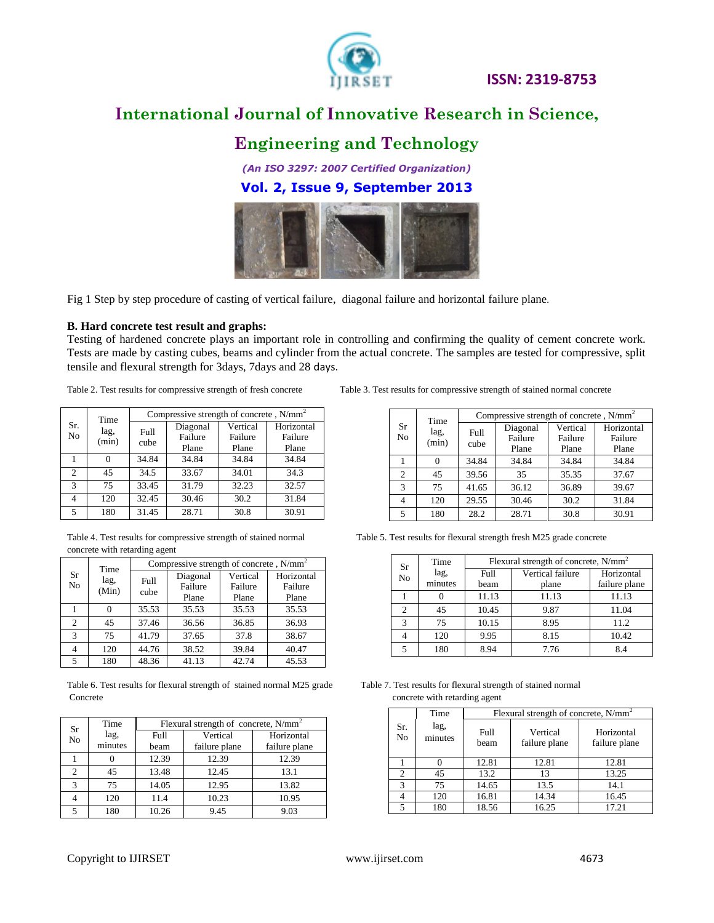

# **International Journal of Innovative Research in Science,**

### **Engineering and Technology**

*(An ISO 3297: 2007 Certified Organization)* **Vol. 2, Issue 9, September 2013**



Fig 1 Step by step procedure of casting of vertical failure, diagonal failure and horizontal failure plane.

#### **B. Hard concrete test result and graphs:**

Testing of hardened concrete plays an important role in controlling and confirming the quality of cement concrete work. Tests are made by casting cubes, beams and cylinder from the actual concrete. The samples are tested for compressive, split tensile and flexural strength for 3days, 7days and 28 days.

| Sr.           | Time<br>lag, | Compressive strength of concrete, $N/mm^2$ |          |          |            |  |
|---------------|--------------|--------------------------------------------|----------|----------|------------|--|
|               |              | Full<br>cube                               | Diagonal | Vertical | Horizontal |  |
| No            | (min)        |                                            | Failure  | Failure  | Failure    |  |
|               |              |                                            | Plane    | Plane    | Plane      |  |
|               |              | 34.84                                      | 34.84    | 34.84    | 34.84      |  |
| $\mathcal{D}$ | 45           | 34.5                                       | 33.67    | 34.01    | 34.3       |  |
| 3             | 75           | 33.45                                      | 31.79    | 32.23    | 32.57      |  |
|               | 120          | 32.45                                      | 30.46    | 30.2     | 31.84      |  |
| 5             | 180          | 31.45                                      | 28.71    | 30.8     | 30.91      |  |

Table 4. Test results for compressive strength of stained normal Table 5. Test results for flexural strength fresh M25 grade concrete concrete with retarding agent

| Sr | Time  | Compressive strength of concrete, $N/mm^2$ |          |          |            |  |
|----|-------|--------------------------------------------|----------|----------|------------|--|
|    | lag,  | Full                                       | Diagonal | Vertical | Horizontal |  |
| No | (Min) | cube                                       | Failure  | Failure  | Failure    |  |
|    |       |                                            | Plane    | Plane    | Plane      |  |
|    |       | 35.53                                      | 35.53    | 35.53    | 35.53      |  |
| 2  | 45    | 37.46                                      | 36.56    | 36.85    | 36.93      |  |
| 3  | 75    | 41.79                                      | 37.65    | 37.8     | 38.67      |  |
|    | 120   | 44.76                                      | 38.52    | 39.84    | 40.47      |  |
| 5  | 180   | 48.36                                      | 41.13    | 42.74    | 45.53      |  |

Table 6. Test results for flexural strength of stained normal M25 grade Table 7. Test results for flexural strength of stained normal Concrete concrete concrete with retarding agent

| Sr<br>No       | Time    | Flexural strength of concrete, $N/mm^2$ |               |               |  |
|----------------|---------|-----------------------------------------|---------------|---------------|--|
|                | lag,    | Full                                    | Vertical      | Horizontal    |  |
|                | minutes | beam                                    | failure plane | failure plane |  |
|                | 0       | 12.39                                   | 12.39         | 12.39         |  |
| $\mathfrak{D}$ | 45      | 13.48                                   | 12.45         | 13.1          |  |
| 3              | 75      | 14.05                                   | 12.95         | 13.82         |  |
|                | 120     | 11.4                                    | 10.23         | 10.95         |  |
|                | 180     | 10.26                                   | 9.45          | 9.03          |  |

Table 2. Test results for compressive strength of fresh concrete Table 3. Test results for compressive strength of stained normal concrete

|                | Time          | Compressive strength of concrete, N/mm <sup>2</sup> |                              |                              |                                |
|----------------|---------------|-----------------------------------------------------|------------------------------|------------------------------|--------------------------------|
| Sr<br>No       | lag,<br>(min) | Full<br>cube                                        | Diagonal<br>Failure<br>Plane | Vertical<br>Failure<br>Plane | Horizontal<br>Failure<br>Plane |
|                | 0             | 34.84                                               | 34.84                        | 34.84                        | 34.84                          |
| $\overline{c}$ | 45            | 39.56                                               | 35                           | 35.35                        | 37.67                          |
| 3              | 75            | 41.65                                               | 36.12                        | 36.89                        | 39.67                          |
| 4              | 120           | 29.55                                               | 30.46                        | 30.2                         | 31.84                          |
| $\overline{5}$ | 180           | 28.2                                                | 28.71                        | 30.8                         | 30.91                          |

| Sr             | Time    | Flexural strength of concrete, $N/mm^2$ |                  |               |  |
|----------------|---------|-----------------------------------------|------------------|---------------|--|
| N <sub>o</sub> | lag,    | Full                                    | Vertical failure | Horizontal    |  |
|                | minutes | beam                                    | plane            | failure plane |  |
|                |         | 11.13                                   | 11.13            | 11.13         |  |
| C              | 45      | 10.45                                   | 9.87             | 11.04         |  |
| $\mathbf{3}$   | 75      | 10.15                                   | 8.95             | 11.2          |  |
|                | 120     | 9.95                                    | 8.15             | 10.42         |  |
|                | 180     | 8.94                                    | 7.76             | 84            |  |

|                       | Time            | Flexural strength of concrete, $N/mm^2$ |                           |                             |  |
|-----------------------|-----------------|-----------------------------------------|---------------------------|-----------------------------|--|
| Sr.<br>N <sub>o</sub> | lag,<br>minutes | Full<br>beam                            | Vertical<br>failure plane | Horizontal<br>failure plane |  |
|                       |                 | 12.81                                   | 12.81                     | 12.81                       |  |
| $\overline{2}$        | 45              | 13.2                                    | 13                        | 13.25                       |  |
| 3                     | 75              | 14.65                                   | 13.5                      | 14.1                        |  |
|                       | 120             | 16.81                                   | 14.34                     | 16.45                       |  |
| 5                     | 180             | 18.56                                   | 16.25                     | 17.21                       |  |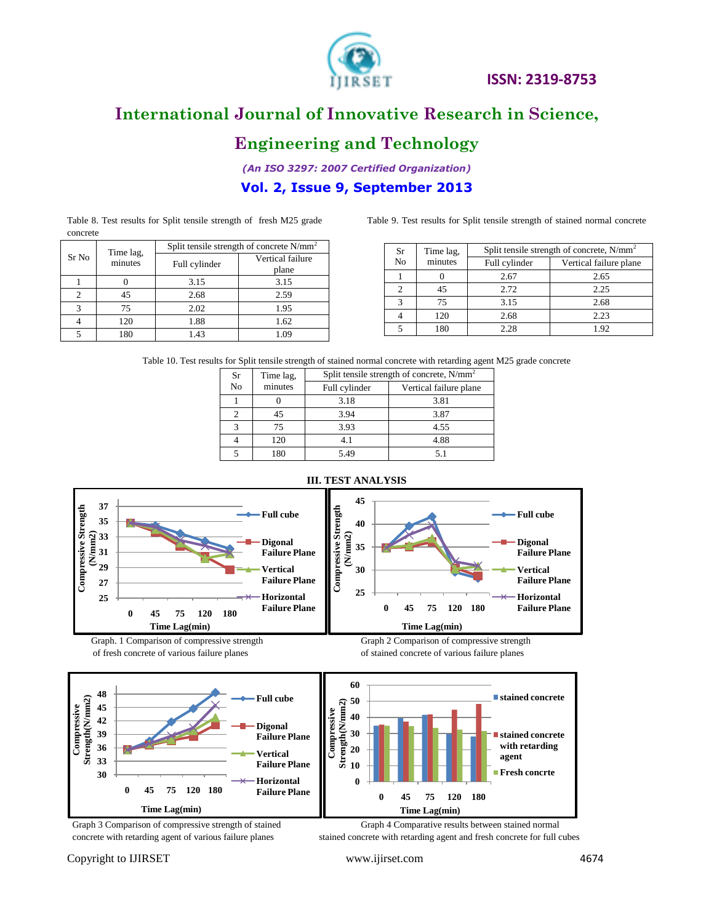

# **International Journal of Innovative Research in Science,**

### **Engineering and Technology**

*(An ISO 3297: 2007 Certified Organization)*

#### **Vol. 2, Issue 9, September 2013**

Table 8. Test results for Split tensile strength of fresh M25 grade Table 9. Test results for Split tensile strength of stained normal concrete concrete

|       |                      | Split tensile strength of concrete $N/mm^2$ |                           |  |
|-------|----------------------|---------------------------------------------|---------------------------|--|
| Sr No | Time lag,<br>minutes | Full cylinder                               | Vertical failure<br>plane |  |
|       |                      | 3.15                                        | 3.15                      |  |
|       | 45                   | 2.68                                        | 2.59                      |  |
|       | 75                   | 2.02                                        | 1.95                      |  |
|       | 120                  | 1.88                                        | 1.62                      |  |
|       | 180                  | 1.43                                        | 1.09                      |  |

| Sr             | Time lag, | Split tensile strength of concrete, $N/mm^2$ |                        |  |
|----------------|-----------|----------------------------------------------|------------------------|--|
| N <sub>0</sub> | minutes   | Full cylinder                                | Vertical failure plane |  |
|                |           | 2.67                                         | 2.65                   |  |
|                | 45        | 2.72                                         | 2.25                   |  |
| っ              | 75        | 3.15                                         | 2.68                   |  |
|                | 120       | 2.68                                         | 2.23                   |  |
|                | 180       | 2.28                                         | 1.92                   |  |

Table 10. Test results for Split tensile strength of stained normal concrete with retarding agent M25 grade concrete

| Sr<br>Time lag, |         | Split tensile strength of concrete, $N/mm^2$ |                        |  |
|-----------------|---------|----------------------------------------------|------------------------|--|
| N <sub>o</sub>  | minutes | Full cylinder                                | Vertical failure plane |  |
|                 |         | 3.18                                         | 3.81                   |  |
|                 | 45      | 3.94                                         | 3.87                   |  |
|                 | 75      | 3.93                                         | 4.55                   |  |
|                 | 120     |                                              | 4.88                   |  |
|                 | 80      | 5 49                                         |                        |  |



**Failure Plane Vertical Failure Plane Horizontal Failure Plane**

**0 45 75 120 180**

**Time Lag(min)**

**30 33 36**

**0 45 75 120 180**

**Time Lag(min)**

**0 10 20**

**with retarding agent Fresh concrte**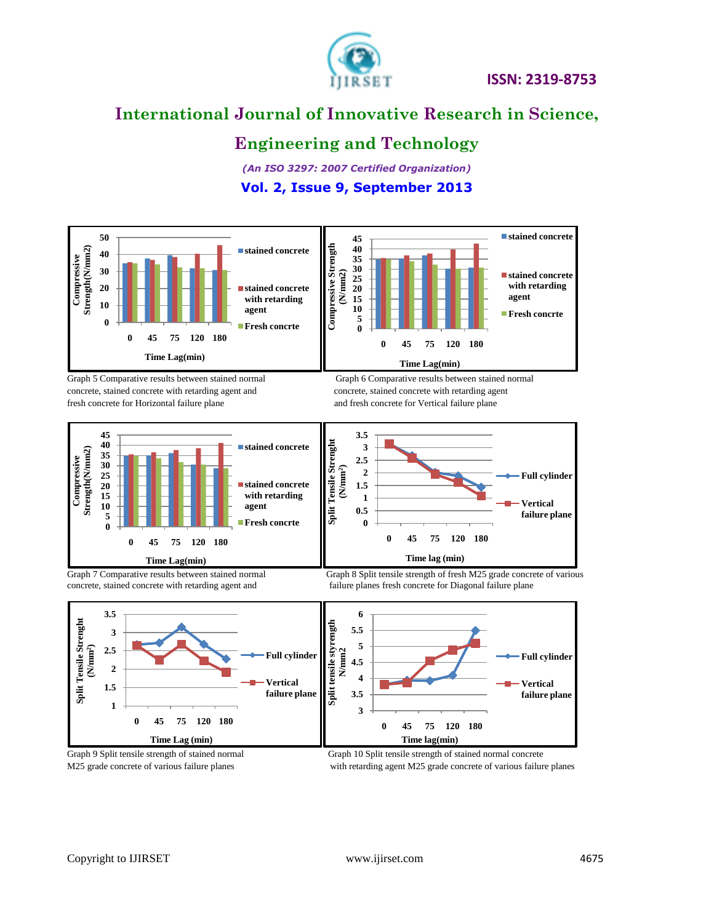

# **International Journal of Innovative Research in Science,**

### **Engineering and Technology**

*(An ISO 3297: 2007 Certified Organization)*

#### **Vol. 2, Issue 9, September 2013**



Graph 5 Comparative results between stained normal Graph 6 Comparative results between stained normal concrete, stained concrete with retarding agent and concrete, stained concrete with retarding agent fresh concrete for Horizontal failure plane and fresh concrete for Vertical failure plane



concrete, stained concrete with retarding agent and failure planes fresh concrete for Diagonal failure plane





Graph 9 Split tensile strength of stained normal Graph 10 Split tensile strength of stained normal concrete M25 grade concrete of various failure planes with retarding agent M25 grade concrete of various failure planes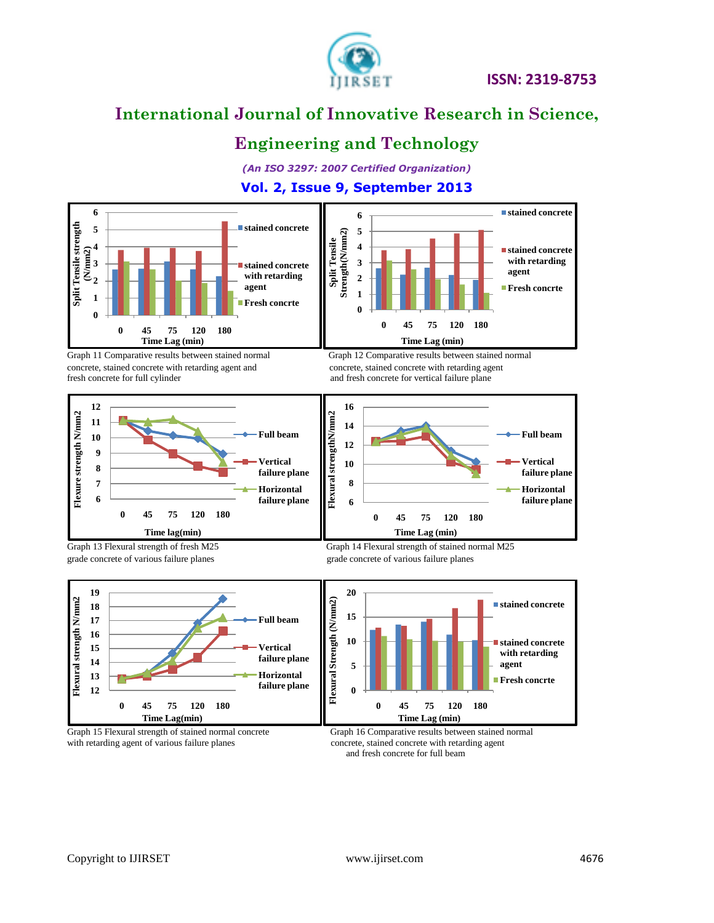

# **International Journal of Innovative Research in Science,**

## **Engineering and Technology**

*(An ISO 3297: 2007 Certified Organization)*

### **Vol. 2, Issue 9, September 2013**



Graph 11 Comparative results between stained normal Graph 12 Comparative results between stained normal concrete, stained concrete with retarding agent and concrete, stained concrete with retarding agent and fresh concrete for vertical failure plane









Graph 13 Flexural strength of fresh M25 Graph 14 Flexural strength of stained normal M25 grade concrete of various failure planes grade concrete of various failure planes



Graph 15 Flexural strength of stained normal concrete Graph 16 Comparative results between stained normal with retarding agent of various failure planes concrete, stained concrete with retarding agent

and fresh concrete for full beam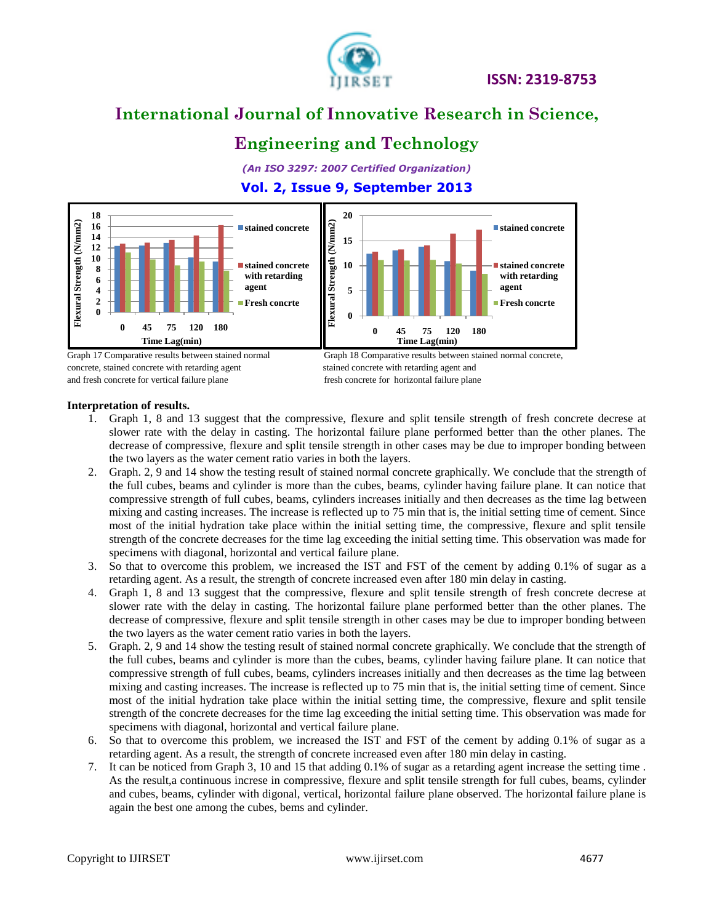

# **International Journal of Innovative Research in Science,**

## **Engineering and Technology**

*(An ISO 3297: 2007 Certified Organization)*

#### **Vol. 2, Issue 9, September 2013**



concrete, stained concrete with retarding agent stained concrete with retarding agent and and fresh concrete for vertical failure plane fresh concrete for horizontal failure plane

#### **Interpretation of results.**

- 1. Graph 1, 8 and 13 suggest that the compressive, flexure and split tensile strength of fresh concrete decrese at slower rate with the delay in casting. The horizontal failure plane performed better than the other planes. The decrease of compressive, flexure and split tensile strength in other cases may be due to improper bonding between the two layers as the water cement ratio varies in both the layers.
- 2. Graph. 2, 9 and 14 show the testing result of stained normal concrete graphically. We conclude that the strength of the full cubes, beams and cylinder is more than the cubes, beams, cylinder having failure plane. It can notice that compressive strength of full cubes, beams, cylinders increases initially and then decreases as the time lag between mixing and casting increases. The increase is reflected up to 75 min that is, the initial setting time of cement. Since most of the initial hydration take place within the initial setting time, the compressive, flexure and split tensile strength of the concrete decreases for the time lag exceeding the initial setting time. This observation was made for specimens with diagonal, horizontal and vertical failure plane.
- 3. So that to overcome this problem, we increased the IST and FST of the cement by adding 0.1% of sugar as a retarding agent. As a result, the strength of concrete increased even after 180 min delay in casting.
- 4. Graph 1, 8 and 13 suggest that the compressive, flexure and split tensile strength of fresh concrete decrese at slower rate with the delay in casting. The horizontal failure plane performed better than the other planes. The decrease of compressive, flexure and split tensile strength in other cases may be due to improper bonding between the two layers as the water cement ratio varies in both the layers.
- 5. Graph. 2, 9 and 14 show the testing result of stained normal concrete graphically. We conclude that the strength of the full cubes, beams and cylinder is more than the cubes, beams, cylinder having failure plane. It can notice that compressive strength of full cubes, beams, cylinders increases initially and then decreases as the time lag between mixing and casting increases. The increase is reflected up to 75 min that is, the initial setting time of cement. Since most of the initial hydration take place within the initial setting time, the compressive, flexure and split tensile strength of the concrete decreases for the time lag exceeding the initial setting time. This observation was made for specimens with diagonal, horizontal and vertical failure plane.
- 6. So that to overcome this problem, we increased the IST and FST of the cement by adding 0.1% of sugar as a retarding agent. As a result, the strength of concrete increased even after 180 min delay in casting.
- 7. It can be noticed from Graph 3, 10 and 15 that adding 0.1% of sugar as a retarding agent increase the setting time . As the result,a continuous increse in compressive, flexure and split tensile strength for full cubes, beams, cylinder and cubes, beams, cylinder with digonal, vertical, horizontal failure plane observed. The horizontal failure plane is again the best one among the cubes, bems and cylinder.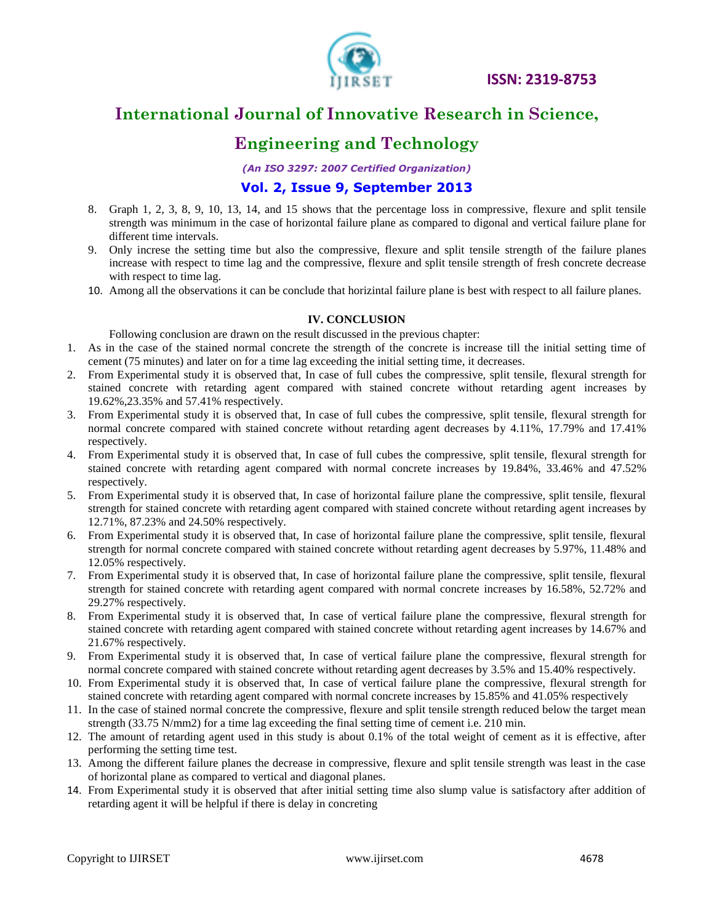

# **International Journal of Innovative Research in Science,**

### **Engineering and Technology**

*(An ISO 3297: 2007 Certified Organization)*

#### **Vol. 2, Issue 9, September 2013**

- 8. Graph 1, 2, 3, 8, 9, 10, 13, 14, and 15 shows that the percentage loss in compressive, flexure and split tensile strength was minimum in the case of horizontal failure plane as compared to digonal and vertical failure plane for different time intervals.
- 9. Only increse the setting time but also the compressive, flexure and split tensile strength of the failure planes increase with respect to time lag and the compressive, flexure and split tensile strength of fresh concrete decrease with respect to time lag.
- 10. Among all the observations it can be conclude that horizintal failure plane is best with respect to all failure planes.

#### **IV. CONCLUSION**

Following conclusion are drawn on the result discussed in the previous chapter:

- 1. As in the case of the stained normal concrete the strength of the concrete is increase till the initial setting time of cement (75 minutes) and later on for a time lag exceeding the initial setting time, it decreases.
- 2. From Experimental study it is observed that, In case of full cubes the compressive, split tensile, flexural strength for stained concrete with retarding agent compared with stained concrete without retarding agent increases by 19.62%,23.35% and 57.41% respectively.
- 3. From Experimental study it is observed that, In case of full cubes the compressive, split tensile, flexural strength for normal concrete compared with stained concrete without retarding agent decreases by 4.11%, 17.79% and 17.41% respectively.
- 4. From Experimental study it is observed that, In case of full cubes the compressive, split tensile, flexural strength for stained concrete with retarding agent compared with normal concrete increases by 19.84%, 33.46% and 47.52% respectively.
- 5. From Experimental study it is observed that, In case of horizontal failure plane the compressive, split tensile, flexural strength for stained concrete with retarding agent compared with stained concrete without retarding agent increases by 12.71%, 87.23% and 24.50% respectively.
- 6. From Experimental study it is observed that, In case of horizontal failure plane the compressive, split tensile, flexural strength for normal concrete compared with stained concrete without retarding agent decreases by 5.97%, 11.48% and 12.05% respectively.
- 7. From Experimental study it is observed that, In case of horizontal failure plane the compressive, split tensile, flexural strength for stained concrete with retarding agent compared with normal concrete increases by 16.58%, 52.72% and 29.27% respectively.
- 8. From Experimental study it is observed that, In case of vertical failure plane the compressive, flexural strength for stained concrete with retarding agent compared with stained concrete without retarding agent increases by 14.67% and 21.67% respectively.
- 9. From Experimental study it is observed that, In case of vertical failure plane the compressive, flexural strength for normal concrete compared with stained concrete without retarding agent decreases by 3.5% and 15.40% respectively.
- 10. From Experimental study it is observed that, In case of vertical failure plane the compressive, flexural strength for stained concrete with retarding agent compared with normal concrete increases by 15.85% and 41.05% respectively
- 11. In the case of stained normal concrete the compressive, flexure and split tensile strength reduced below the target mean strength (33.75 N/mm2) for a time lag exceeding the final setting time of cement i.e. 210 min.
- 12. The amount of retarding agent used in this study is about 0.1% of the total weight of cement as it is effective, after performing the setting time test.
- 13. Among the different failure planes the decrease in compressive, flexure and split tensile strength was least in the case of horizontal plane as compared to vertical and diagonal planes.
- 14. From Experimental study it is observed that after initial setting time also slump value is satisfactory after addition of retarding agent it will be helpful if there is delay in concreting